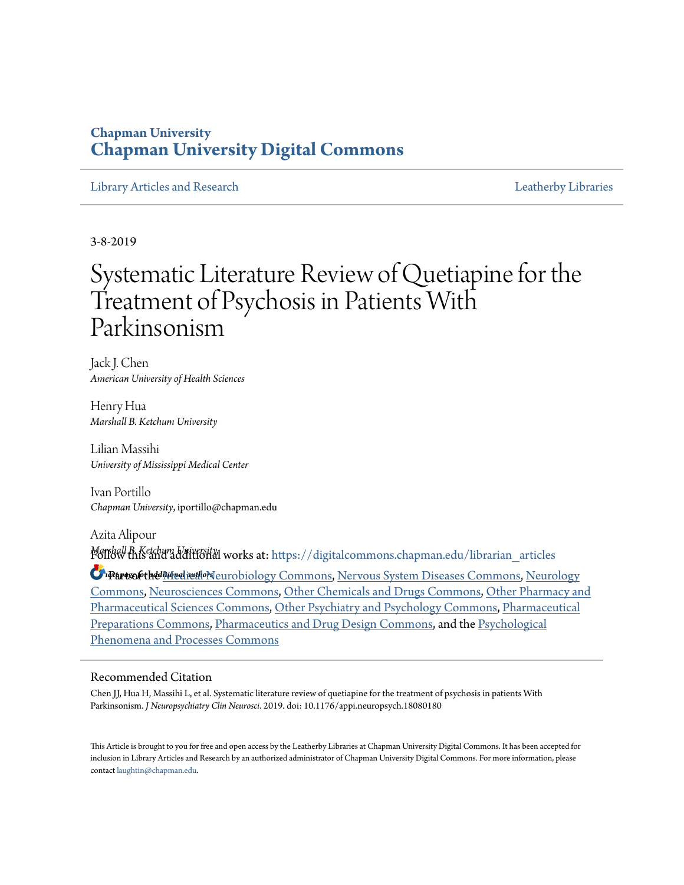### **Chapman University [Chapman University Digital Commons](https://digitalcommons.chapman.edu?utm_source=digitalcommons.chapman.edu%2Flibrarian_articles%2F26&utm_medium=PDF&utm_campaign=PDFCoverPages)**

[Library Articles and Research](https://digitalcommons.chapman.edu/librarian_articles?utm_source=digitalcommons.chapman.edu%2Flibrarian_articles%2F26&utm_medium=PDF&utm_campaign=PDFCoverPages) [Leatherby Libraries](https://digitalcommons.chapman.edu/leatherbylibraries?utm_source=digitalcommons.chapman.edu%2Flibrarian_articles%2F26&utm_medium=PDF&utm_campaign=PDFCoverPages)

3-8-2019

# Systematic Literature Review of Quetiapine for the Treatment of Psychosis in Patients With Parkinsonism

Jack J. Chen *American University of Health Sciences*

Henry Hua *Marshall B. Ketchum University*

Lilian Massihi *University of Mississippi Medical Center*

Ivan Portillo *Chapman University*, iportillo@chapman.edu

Azita Alipour *Marshall B. Ketchum University,* Follow this and additional works at: [https://digitalcommons.chapman.edu/librarian\\_articles](https://digitalcommons.chapman.edu/librarian_articles?utm_source=digitalcommons.chapman.edu%2Flibrarian_articles%2F26&utm_medium=PDF&utm_campaign=PDFCoverPages)

**S** Parts of the Medical number of the University Commons, [Nervous System Diseases Commons](http://network.bepress.com/hgg/discipline/928?utm_source=digitalcommons.chapman.edu%2Flibrarian_articles%2F26&utm_medium=PDF&utm_campaign=PDFCoverPages), [Neurology](http://network.bepress.com/hgg/discipline/692?utm_source=digitalcommons.chapman.edu%2Flibrarian_articles%2F26&utm_medium=PDF&utm_campaign=PDFCoverPages) [Commons,](http://network.bepress.com/hgg/discipline/692?utm_source=digitalcommons.chapman.edu%2Flibrarian_articles%2F26&utm_medium=PDF&utm_campaign=PDFCoverPages) [Neurosciences Commons](http://network.bepress.com/hgg/discipline/1010?utm_source=digitalcommons.chapman.edu%2Flibrarian_articles%2F26&utm_medium=PDF&utm_campaign=PDFCoverPages), [Other Chemicals and Drugs Commons](http://network.bepress.com/hgg/discipline/951?utm_source=digitalcommons.chapman.edu%2Flibrarian_articles%2F26&utm_medium=PDF&utm_campaign=PDFCoverPages), [Other Pharmacy and](http://network.bepress.com/hgg/discipline/737?utm_source=digitalcommons.chapman.edu%2Flibrarian_articles%2F26&utm_medium=PDF&utm_campaign=PDFCoverPages) [Pharmaceutical Sciences Commons](http://network.bepress.com/hgg/discipline/737?utm_source=digitalcommons.chapman.edu%2Flibrarian_articles%2F26&utm_medium=PDF&utm_campaign=PDFCoverPages), [Other Psychiatry and Psychology Commons](http://network.bepress.com/hgg/discipline/992?utm_source=digitalcommons.chapman.edu%2Flibrarian_articles%2F26&utm_medium=PDF&utm_campaign=PDFCoverPages), [Pharmaceutical](http://network.bepress.com/hgg/discipline/936?utm_source=digitalcommons.chapman.edu%2Flibrarian_articles%2F26&utm_medium=PDF&utm_campaign=PDFCoverPages) [Preparations Commons,](http://network.bepress.com/hgg/discipline/936?utm_source=digitalcommons.chapman.edu%2Flibrarian_articles%2F26&utm_medium=PDF&utm_campaign=PDFCoverPages) [Pharmaceutics and Drug Design Commons](http://network.bepress.com/hgg/discipline/733?utm_source=digitalcommons.chapman.edu%2Flibrarian_articles%2F26&utm_medium=PDF&utm_campaign=PDFCoverPages), and the [Psychological](http://network.bepress.com/hgg/discipline/914?utm_source=digitalcommons.chapman.edu%2Flibrarian_articles%2F26&utm_medium=PDF&utm_campaign=PDFCoverPages) [Phenomena and Processes Commons](http://network.bepress.com/hgg/discipline/914?utm_source=digitalcommons.chapman.edu%2Flibrarian_articles%2F26&utm_medium=PDF&utm_campaign=PDFCoverPages)

#### Recommended Citation

Chen JJ, Hua H, Massihi L, et al. Systematic literature review of quetiapine for the treatment of psychosis in patients With Parkinsonism. *J Neuropsychiatry Clin Neurosci*. 2019. doi: 10.1176/appi.neuropsych.18080180

This Article is brought to you for free and open access by the Leatherby Libraries at Chapman University Digital Commons. It has been accepted for inclusion in Library Articles and Research by an authorized administrator of Chapman University Digital Commons. For more information, please contact [laughtin@chapman.edu](mailto:laughtin@chapman.edu).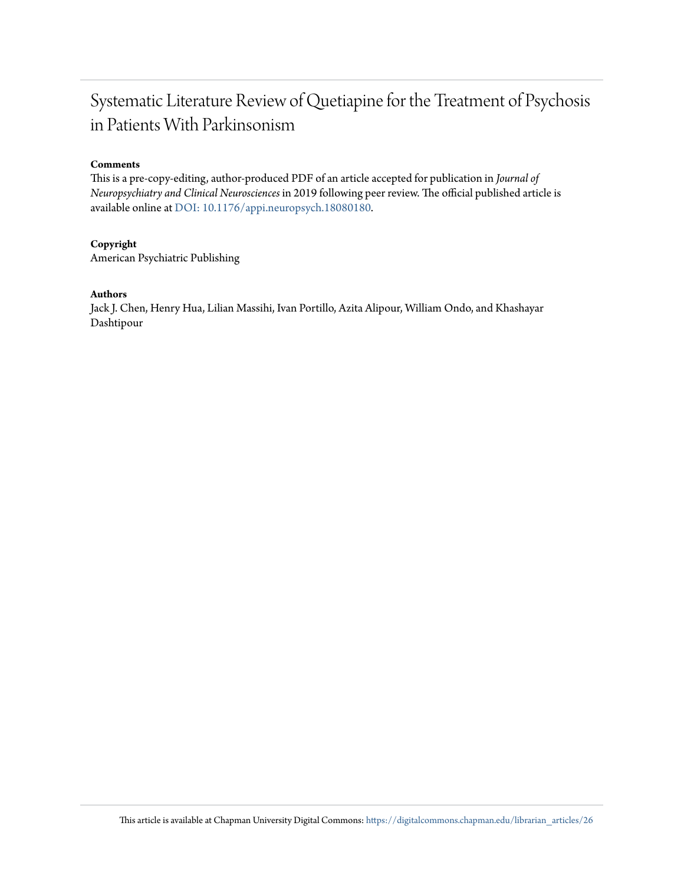# Systematic Literature Review of Quetiapine for the Treatment of Psychosis in Patients With Parkinsonism

#### **Comments**

This is a pre-copy-editing, author-produced PDF of an article accepted for publication in *Journal of Neuropsychiatry and Clinical Neurosciences* in 2019 following peer review. The official published article is available online at [DOI: 10.1176/appi.neuropsych.18080180](https://doi.org/10.1176/appi.neuropsych.18080180).

#### **Copyright**

American Psychiatric Publishing

#### **Authors**

Jack J. Chen, Henry Hua, Lilian Massihi, Ivan Portillo, Azita Alipour, William Ondo, and Khashayar Dashtipour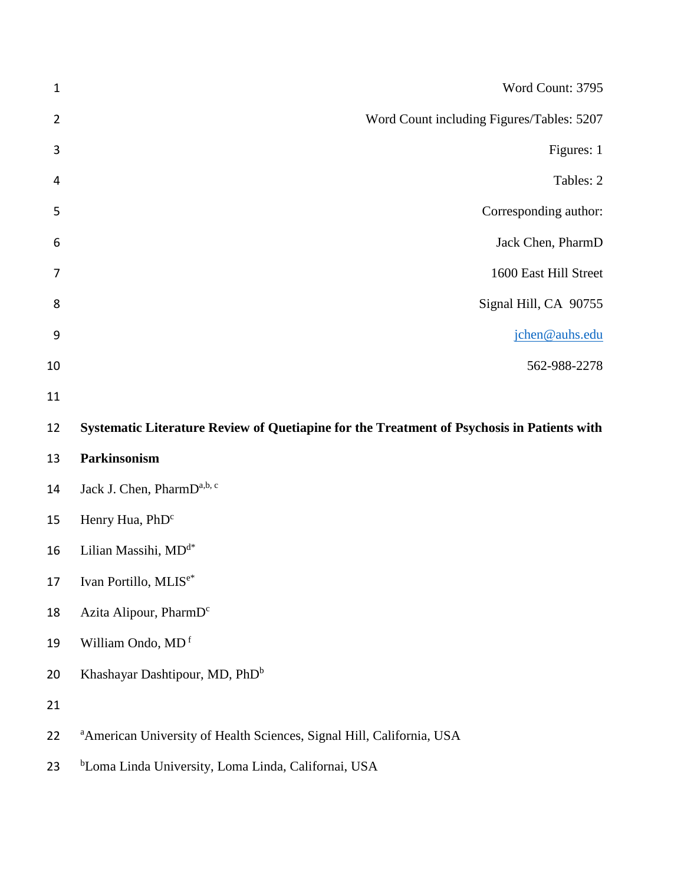| $\mathbf{1}$   | Word Count: 3795                                                                           |
|----------------|--------------------------------------------------------------------------------------------|
| $\overline{2}$ | Word Count including Figures/Tables: 5207                                                  |
| 3              | Figures: 1                                                                                 |
| 4              | Tables: 2                                                                                  |
| 5              | Corresponding author:                                                                      |
| 6              | Jack Chen, PharmD                                                                          |
| 7              | 1600 East Hill Street                                                                      |
| 8              | Signal Hill, CA 90755                                                                      |
| 9              | jchen@auhs.edu                                                                             |
| 10             | 562-988-2278                                                                               |
| 11             |                                                                                            |
| 12             | Systematic Literature Review of Quetiapine for the Treatment of Psychosis in Patients with |
| 13             | Parkinsonism                                                                               |
| 14             | Jack J. Chen, PharmD <sup>a,b, c</sup>                                                     |
| 15             | Henry Hua, PhD <sup>c</sup>                                                                |
| 16             | Lilian Massihi, MD <sup>d*</sup>                                                           |
| 17             | Ivan Portillo, MLISe*                                                                      |
| 18             | Azita Alipour, PharmD <sup>c</sup>                                                         |
| 19             | William Ondo, MD <sup>f</sup>                                                              |
| 20             | Khashayar Dashtipour, MD, PhD <sup>b</sup>                                                 |
| 21             |                                                                                            |
| 22             | <sup>a</sup> American University of Health Sciences, Signal Hill, California, USA          |
| 23             | <sup>b</sup> Loma Linda University, Loma Linda, Californai, USA                            |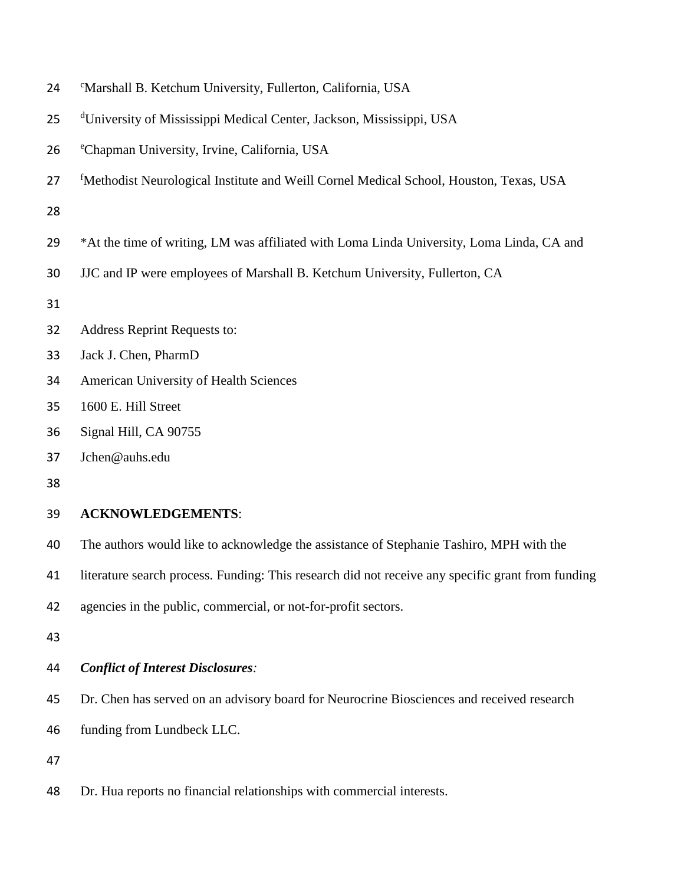- Marshall B. Ketchum University, Fullerton, California, USA
- 25 d'University of Mississippi Medical Center, Jackson, Mississippi, USA
- 26 Chapman University, Irvine, California, USA
- <sup>f</sup>Methodist Neurological Institute and Weill Cornel Medical School, Houston, Texas, USA
- 
- \*At the time of writing, LM was affiliated with Loma Linda University, Loma Linda, CA and
- JJC and IP were employees of Marshall B. Ketchum University, Fullerton, CA
- 
- Address Reprint Requests to:
- Jack J. Chen, PharmD
- American University of Health Sciences
- 1600 E. Hill Street
- Signal Hill, CA 90755
- Jchen@auhs.edu
- 

#### **ACKNOWLEDGEMENTS**:

The authors would like to acknowledge the assistance of Stephanie Tashiro, MPH with the

literature search process. Funding: This research did not receive any specific grant from funding

agencies in the public, commercial, or not-for-profit sectors.

- 
- *Conflict of Interest Disclosures:*
- Dr. Chen has served on an advisory board for Neurocrine Biosciences and received research
- funding from Lundbeck LLC.

Dr. Hua reports no financial relationships with commercial interests.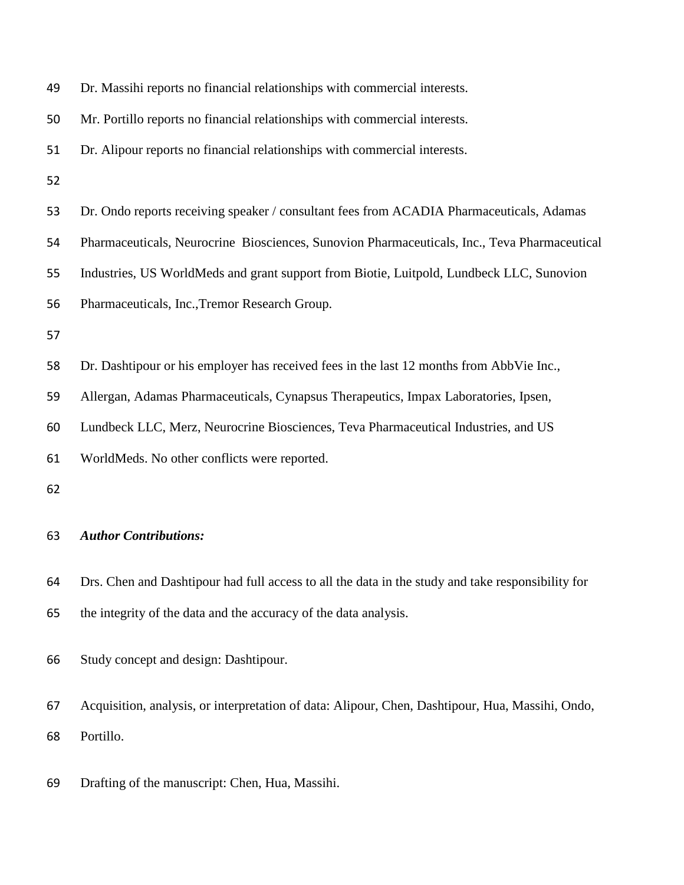| 49 | Dr. Massihi reports no financial relationships with commercial interests.                         |
|----|---------------------------------------------------------------------------------------------------|
| 50 | Mr. Portillo reports no financial relationships with commercial interests.                        |
| 51 | Dr. Alipour reports no financial relationships with commercial interests.                         |
| 52 |                                                                                                   |
| 53 | Dr. Ondo reports receiving speaker / consultant fees from ACADIA Pharmaceuticals, Adamas          |
| 54 | Pharmaceuticals, Neurocrine Biosciences, Sunovion Pharmaceuticals, Inc., Teva Pharmaceutical      |
| 55 | Industries, US WorldMeds and grant support from Biotie, Luitpold, Lundbeck LLC, Sunovion          |
| 56 | Pharmaceuticals, Inc., Tremor Research Group.                                                     |
| 57 |                                                                                                   |
| 58 | Dr. Dashtipour or his employer has received fees in the last 12 months from AbbVie Inc.,          |
| 59 | Allergan, Adamas Pharmaceuticals, Cynapsus Therapeutics, Impax Laboratories, Ipsen,               |
| 60 | Lundbeck LLC, Merz, Neurocrine Biosciences, Teva Pharmaceutical Industries, and US                |
| 61 | WorldMeds. No other conflicts were reported.                                                      |
| 62 |                                                                                                   |
| 63 | <b>Author Contributions:</b>                                                                      |
| 64 | Drs. Chen and Dashtipour had full access to all the data in the study and take responsibility for |
| 65 | the integrity of the data and the accuracy of the data analysis.                                  |
| 66 | Study concept and design: Dashtipour.                                                             |
| 67 | Acquisition, analysis, or interpretation of data: Alipour, Chen, Dashtipour, Hua, Massihi, Ondo,  |
| 68 | Portillo.                                                                                         |
| 69 | Drafting of the manuscript: Chen, Hua, Massihi.                                                   |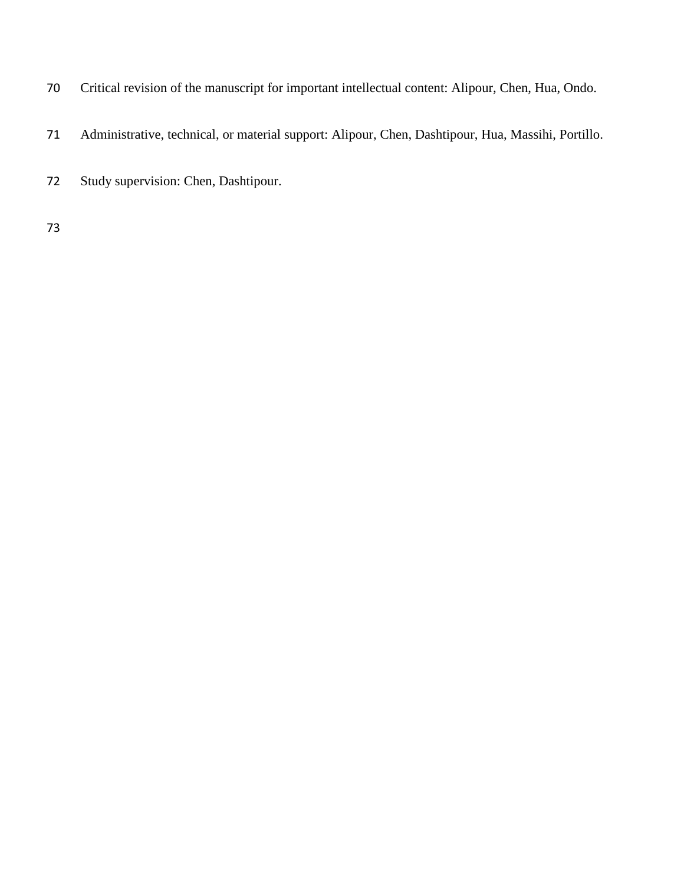- Critical revision of the manuscript for important intellectual content: Alipour, Chen, Hua, Ondo.
- Administrative, technical, or material support: Alipour, Chen, Dashtipour, Hua, Massihi, Portillo.
- Study supervision: Chen, Dashtipour.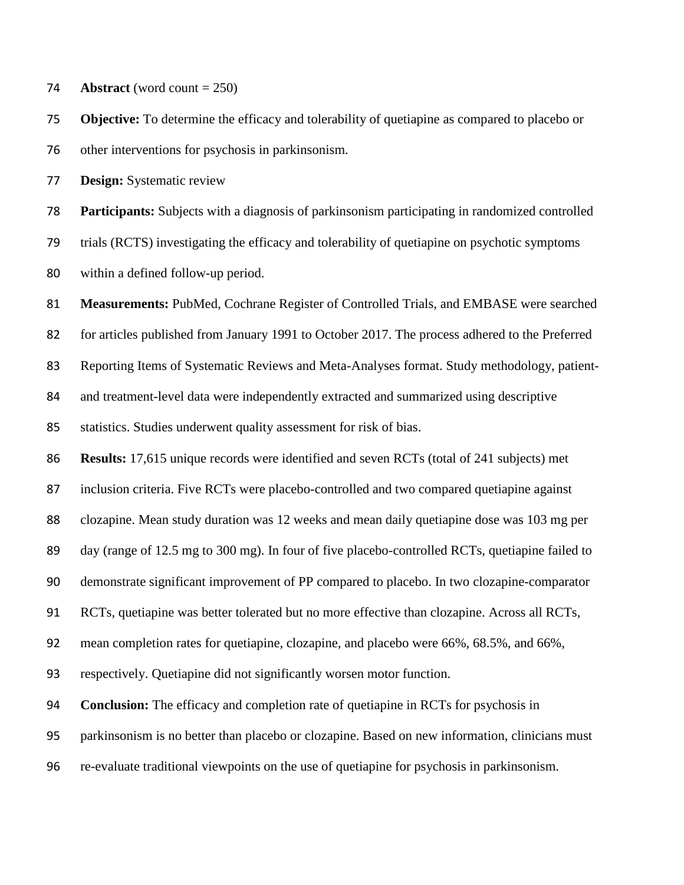**74 Abstract** (word count  $= 250$ )

 **Objective:** To determine the efficacy and tolerability of quetiapine as compared to placebo or other interventions for psychosis in parkinsonism.

**Design:** Systematic review

**Participants:** Subjects with a diagnosis of parkinsonism participating in randomized controlled

 trials (RCTS) investigating the efficacy and tolerability of quetiapine on psychotic symptoms within a defined follow-up period.

 **Measurements:** PubMed, Cochrane Register of Controlled Trials, and EMBASE were searched for articles published from January 1991 to October 2017. The process adhered to the Preferred Reporting Items of Systematic Reviews and Meta-Analyses format. Study methodology, patient- and treatment-level data were independently extracted and summarized using descriptive statistics. Studies underwent quality assessment for risk of bias.

**Results:** 17,615 unique records were identified and seven RCTs (total of 241 subjects) met

inclusion criteria. Five RCTs were placebo-controlled and two compared quetiapine against

clozapine. Mean study duration was 12 weeks and mean daily quetiapine dose was 103 mg per

day (range of 12.5 mg to 300 mg). In four of five placebo-controlled RCTs, quetiapine failed to

demonstrate significant improvement of PP compared to placebo. In two clozapine-comparator

RCTs, quetiapine was better tolerated but no more effective than clozapine. Across all RCTs,

mean completion rates for quetiapine, clozapine, and placebo were 66%, 68.5%, and 66%,

respectively. Quetiapine did not significantly worsen motor function.

**Conclusion:** The efficacy and completion rate of quetiapine in RCTs for psychosis in

parkinsonism is no better than placebo or clozapine. Based on new information, clinicians must

re-evaluate traditional viewpoints on the use of quetiapine for psychosis in parkinsonism.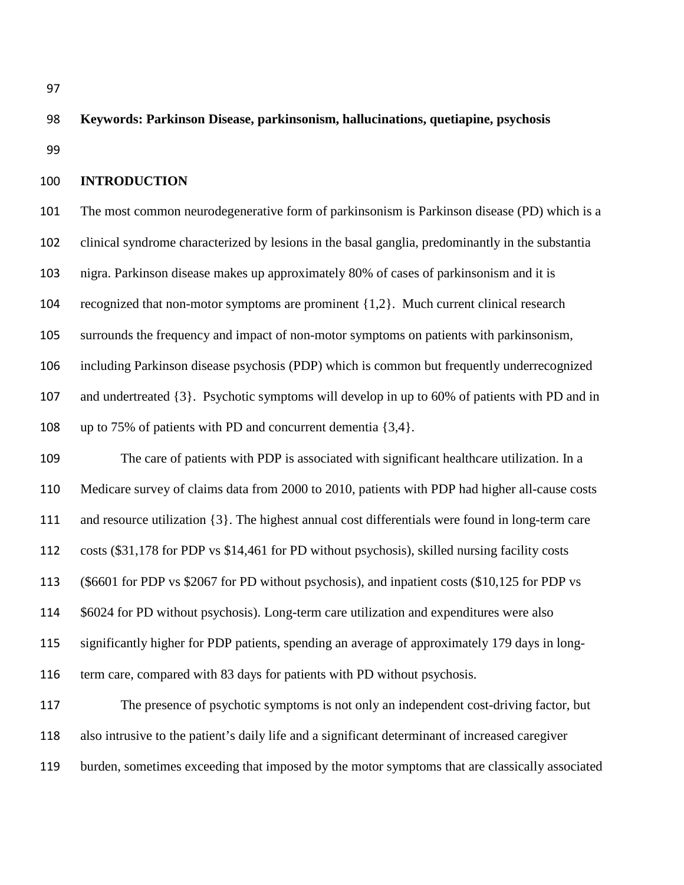## **Keywords: Parkinson Disease, parkinsonism, hallucinations, quetiapine, psychosis**

#### **INTRODUCTION**

 The most common neurodegenerative form of parkinsonism is Parkinson disease (PD) which is a clinical syndrome characterized by lesions in the basal ganglia, predominantly in the substantia nigra. Parkinson disease makes up approximately 80% of cases of parkinsonism and it is recognized that non-motor symptoms are prominent {1,2}. Much current clinical research surrounds the frequency and impact of non-motor symptoms on patients with parkinsonism, including Parkinson disease psychosis (PDP) which is common but frequently underrecognized and undertreated {3}.Psychotic symptoms will develop in up to 60% of patients with PD and in up to 75% of patients with PD and concurrent dementia {3,4}.

 The care of patients with PDP is associated with significant healthcare utilization. In a Medicare survey of claims data from 2000 to 2010, patients with PDP had higher all-cause costs and resource utilization {3}. The highest annual cost differentials were found in long-term care costs (\$31,178 for PDP vs \$14,461 for PD without psychosis), skilled nursing facility costs (\$6601 for PDP vs \$2067 for PD without psychosis), and inpatient costs (\$10,125 for PDP vs \$6024 for PD without psychosis). Long-term care utilization and expenditures were also significantly higher for PDP patients, spending an average of approximately 179 days in long-term care, compared with 83 days for patients with PD without psychosis.

 The presence of psychotic symptoms is not only an independent cost-driving factor, but also intrusive to the patient's daily life and a significant determinant of increased caregiver burden, sometimes exceeding that imposed by the motor symptoms that are classically associated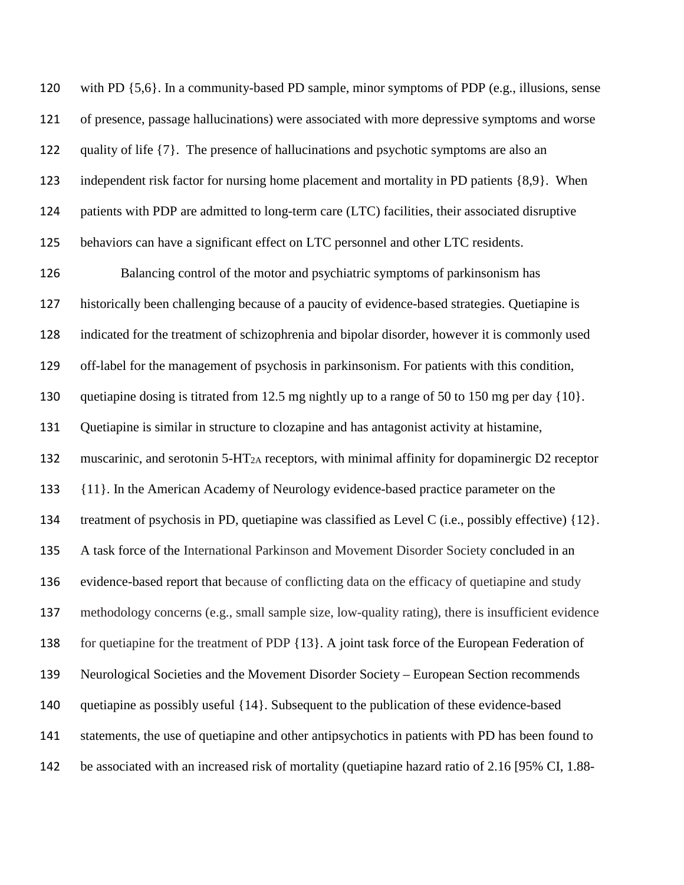with PD {5,6}. In a community-based PD sample, minor symptoms of PDP (e.g., illusions, sense of presence, passage hallucinations) were associated with more depressive symptoms and worse quality of life {7}. The presence of hallucinations and psychotic symptoms are also an independent risk factor for nursing home placement and mortality in PD patients {8,9}. When patients with PDP are admitted to long-term care (LTC) facilities, their associated disruptive behaviors can have a significant effect on LTC personnel and other LTC residents.

 Balancing control of the motor and psychiatric symptoms of parkinsonism has historically been challenging because of a paucity of evidence-based strategies. Quetiapine is indicated for the treatment of schizophrenia and bipolar disorder, however it is commonly used off-label for the management of psychosis in parkinsonism. For patients with this condition, quetiapine dosing is titrated from 12.5 mg nightly up to a range of 50 to 150 mg per day {10}. Quetiapine is similar in structure to clozapine and has antagonist activity at histamine, 132 muscarinic, and serotonin 5-HT<sub>2A</sub> receptors, with minimal affinity for dopaminergic D2 receptor {11}. In the American Academy of Neurology evidence-based practice parameter on the treatment of psychosis in PD, quetiapine was classified as Level C (i.e., possibly effective) {12}. A task force of the International Parkinson and Movement Disorder Society concluded in an evidence-based report that because of conflicting data on the efficacy of quetiapine and study methodology concerns (e.g., small sample size, low-quality rating), there is insufficient evidence for quetiapine for the treatment of PDP {13}. A joint task force of the European Federation of Neurological Societies and the Movement Disorder Society – European Section recommends quetiapine as possibly useful {14}. Subsequent to the publication of these evidence-based statements, the use of quetiapine and other antipsychotics in patients with PD has been found to be associated with an increased risk of mortality (quetiapine hazard ratio of 2.16 [95% CI, 1.88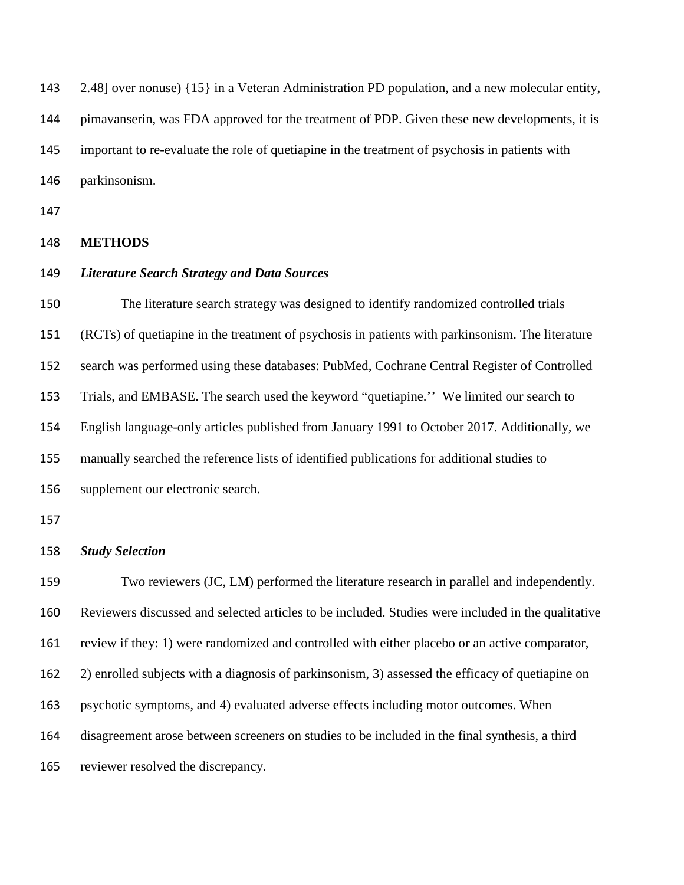2.48] over nonuse) {15} in a Veteran Administration PD population, and a new molecular entity,

pimavanserin, was FDA approved for the treatment of PDP. Given these new developments, it is

important to re-evaluate the role of quetiapine in the treatment of psychosis in patients with

parkinsonism.

#### **METHODS**

*Literature Search Strategy and Data Sources*

 The literature search strategy was designed to identify randomized controlled trials (RCTs) of quetiapine in the treatment of psychosis in patients with parkinsonism. The literature search was performed using these databases: PubMed, Cochrane Central Register of Controlled Trials, and EMBASE. The search used the keyword "quetiapine.'' We limited our search to English language-only articles published from January 1991 to October 2017. Additionally, we manually searched the reference lists of identified publications for additional studies to supplement our electronic search.

#### *Study Selection*

 Two reviewers (JC, LM) performed the literature research in parallel and independently. Reviewers discussed and selected articles to be included. Studies were included in the qualitative review if they: 1) were randomized and controlled with either placebo or an active comparator, 2) enrolled subjects with a diagnosis of parkinsonism, 3) assessed the efficacy of quetiapine on psychotic symptoms, and 4) evaluated adverse effects including motor outcomes. When disagreement arose between screeners on studies to be included in the final synthesis, a third reviewer resolved the discrepancy.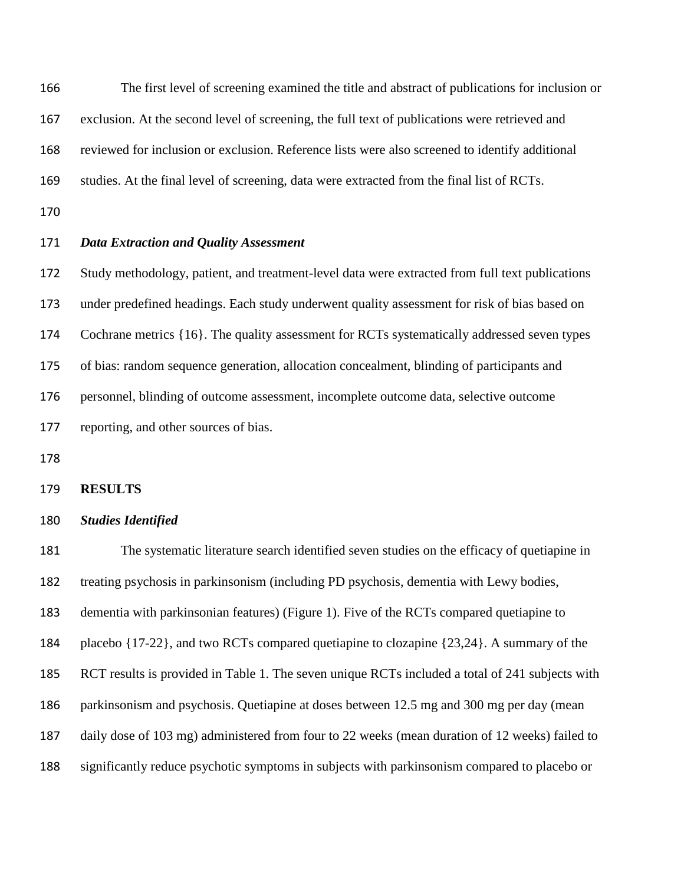The first level of screening examined the title and abstract of publications for inclusion or exclusion. At the second level of screening, the full text of publications were retrieved and reviewed for inclusion or exclusion. Reference lists were also screened to identify additional studies. At the final level of screening, data were extracted from the final list of RCTs.

- 
- *Data Extraction and Quality Assessment*

 Study methodology, patient, and treatment-level data were extracted from full text publications under predefined headings. Each study underwent quality assessment for risk of bias based on Cochrane metrics {16}. The quality assessment for RCTs systematically addressed seven types of bias: random sequence generation, allocation concealment, blinding of participants and personnel, blinding of outcome assessment, incomplete outcome data, selective outcome reporting, and other sources of bias.

#### **RESULTS**

#### *Studies Identified*

 The systematic literature search identified seven studies on the efficacy of quetiapine in treating psychosis in parkinsonism (including PD psychosis, dementia with Lewy bodies, dementia with parkinsonian features) (Figure 1). Five of the RCTs compared quetiapine to placebo {17-22}, and two RCTs compared quetiapine to clozapine {23,24}. A summary of the RCT results is provided in Table 1. The seven unique RCTs included a total of 241 subjects with parkinsonism and psychosis. Quetiapine at doses between 12.5 mg and 300 mg per day (mean daily dose of 103 mg) administered from four to 22 weeks (mean duration of 12 weeks) failed to significantly reduce psychotic symptoms in subjects with parkinsonism compared to placebo or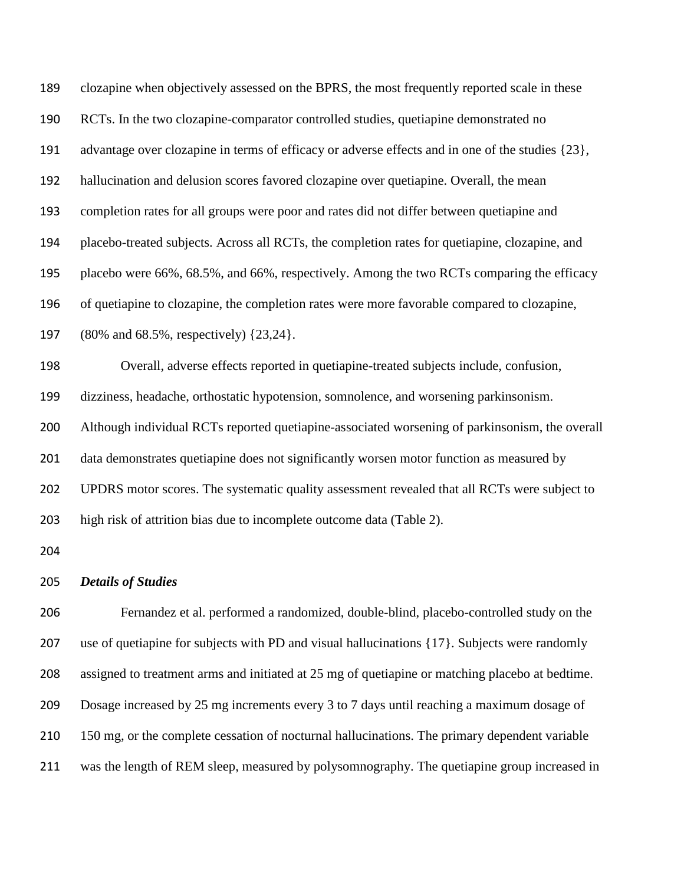clozapine when objectively assessed on the BPRS, the most frequently reported scale in these RCTs. In the two clozapine-comparator controlled studies, quetiapine demonstrated no advantage over clozapine in terms of efficacy or adverse effects and in one of the studies {23}, hallucination and delusion scores favored clozapine over quetiapine. Overall, the mean completion rates for all groups were poor and rates did not differ between quetiapine and placebo-treated subjects. Across all RCTs, the completion rates for quetiapine, clozapine, and placebo were 66%, 68.5%, and 66%, respectively. Among the two RCTs comparing the efficacy of quetiapine to clozapine, the completion rates were more favorable compared to clozapine, (80% and 68.5%, respectively) {23,24}. Overall, adverse effects reported in quetiapine-treated subjects include, confusion, dizziness, headache, orthostatic hypotension, somnolence, and worsening parkinsonism. Although individual RCTs reported quetiapine-associated worsening of parkinsonism, the overall 201 data demonstrates quetiapine does not significantly worsen motor function as measured by UPDRS motor scores. The systematic quality assessment revealed that all RCTs were subject to

high risk of attrition bias due to incomplete outcome data (Table 2).

#### *Details of Studies*

 Fernandez et al. performed a randomized, double-blind, placebo-controlled study on the use of quetiapine for subjects with PD and visual hallucinations {17}. Subjects were randomly assigned to treatment arms and initiated at 25 mg of quetiapine or matching placebo at bedtime. Dosage increased by 25 mg increments every 3 to 7 days until reaching a maximum dosage of 210 150 mg, or the complete cessation of nocturnal hallucinations. The primary dependent variable was the length of REM sleep, measured by polysomnography. The quetiapine group increased in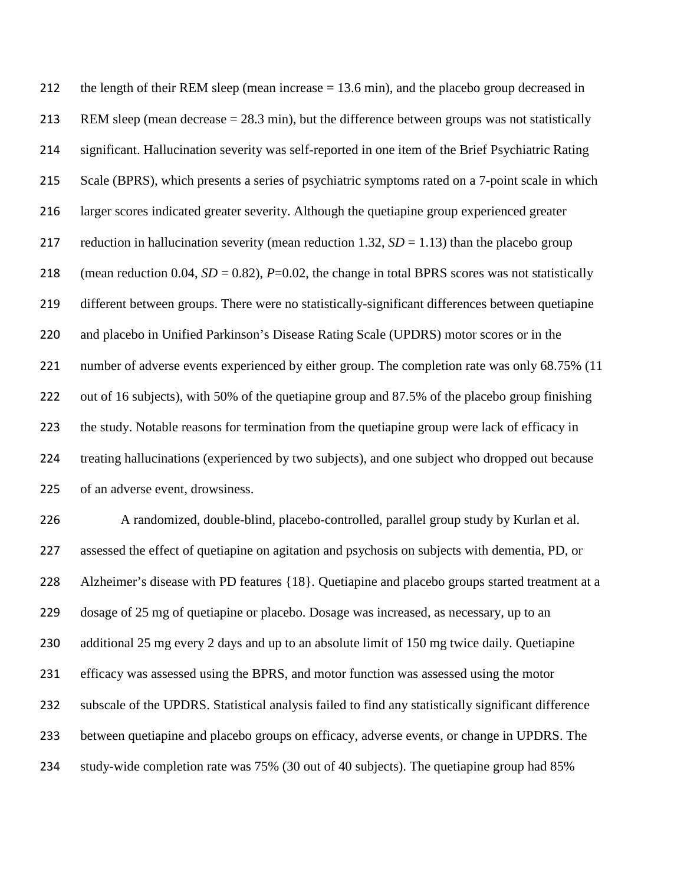the length of their REM sleep (mean increase = 13.6 min), and the placebo group decreased in REM sleep (mean decrease = 28.3 min), but the difference between groups was not statistically significant. Hallucination severity was self-reported in one item of the Brief Psychiatric Rating Scale (BPRS), which presents a series of psychiatric symptoms rated on a 7-point scale in which larger scores indicated greater severity. Although the quetiapine group experienced greater reduction in hallucination severity (mean reduction 1.32, *SD* = 1.13) than the placebo group 218 (mean reduction 0.04,  $SD = 0.82$ ),  $P=0.02$ , the change in total BPRS scores was not statistically different between groups. There were no statistically-significant differences between quetiapine and placebo in Unified Parkinson's Disease Rating Scale (UPDRS) motor scores or in the 221 number of adverse events experienced by either group. The completion rate was only 68.75% (11) 222 out of 16 subjects), with 50% of the quetiapine group and 87.5% of the placebo group finishing the study. Notable reasons for termination from the quetiapine group were lack of efficacy in treating hallucinations (experienced by two subjects), and one subject who dropped out because of an adverse event, drowsiness.

 A randomized, double-blind, placebo-controlled, parallel group study by Kurlan et al. assessed the effect of quetiapine on agitation and psychosis on subjects with dementia, PD, or Alzheimer's disease with PD features {18}. Quetiapine and placebo groups started treatment at a dosage of 25 mg of quetiapine or placebo. Dosage was increased, as necessary, up to an additional 25 mg every 2 days and up to an absolute limit of 150 mg twice daily. Quetiapine efficacy was assessed using the BPRS, and motor function was assessed using the motor subscale of the UPDRS. Statistical analysis failed to find any statistically significant difference between quetiapine and placebo groups on efficacy, adverse events, or change in UPDRS. The study-wide completion rate was 75% (30 out of 40 subjects). The quetiapine group had 85%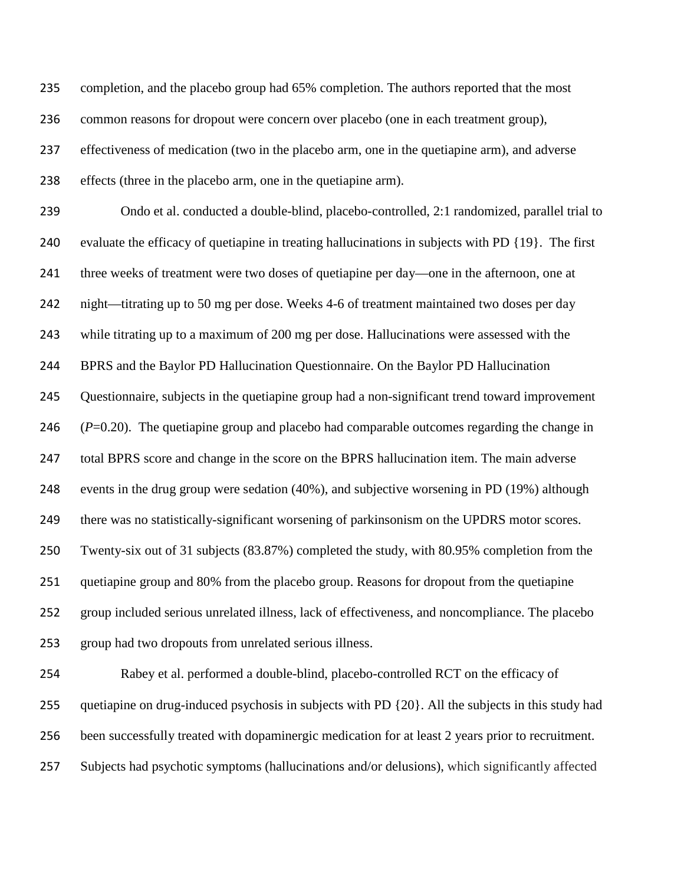completion, and the placebo group had 65% completion. The authors reported that the most common reasons for dropout were concern over placebo (one in each treatment group), effectiveness of medication (two in the placebo arm, one in the quetiapine arm), and adverse effects (three in the placebo arm, one in the quetiapine arm).

 Ondo et al. conducted a double-blind, placebo-controlled, 2:1 randomized, parallel trial to evaluate the efficacy of quetiapine in treating hallucinations in subjects with PD {19}. The first three weeks of treatment were two doses of quetiapine per day—one in the afternoon, one at night—titrating up to 50 mg per dose. Weeks 4-6 of treatment maintained two doses per day while titrating up to a maximum of 200 mg per dose. Hallucinations were assessed with the BPRS and the Baylor PD Hallucination Questionnaire. On the Baylor PD Hallucination Questionnaire, subjects in the quetiapine group had a non-significant trend toward improvement (*P*=0.20). The quetiapine group and placebo had comparable outcomes regarding the change in total BPRS score and change in the score on the BPRS hallucination item. The main adverse events in the drug group were sedation (40%), and subjective worsening in PD (19%) although there was no statistically-significant worsening of parkinsonism on the UPDRS motor scores. Twenty-six out of 31 subjects (83.87%) completed the study, with 80.95% completion from the quetiapine group and 80% from the placebo group. Reasons for dropout from the quetiapine group included serious unrelated illness, lack of effectiveness, and noncompliance. The placebo group had two dropouts from unrelated serious illness.

 Rabey et al. performed a double-blind, placebo-controlled RCT on the efficacy of quetiapine on drug-induced psychosis in subjects with PD {20}. All the subjects in this study had been successfully treated with dopaminergic medication for at least 2 years prior to recruitment. Subjects had psychotic symptoms (hallucinations and/or delusions), which significantly affected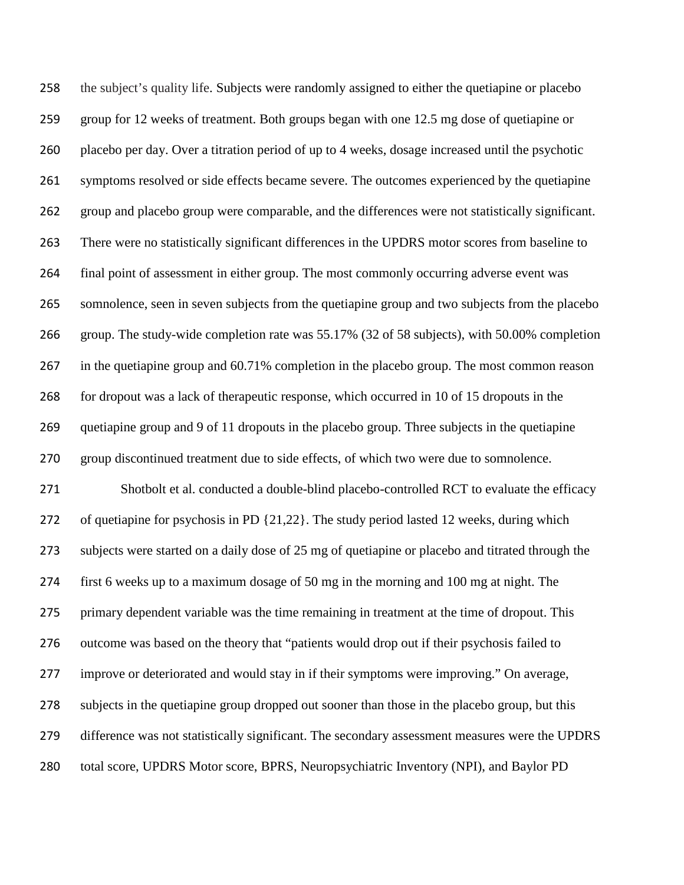the subject's quality life. Subjects were randomly assigned to either the quetiapine or placebo group for 12 weeks of treatment. Both groups began with one 12.5 mg dose of quetiapine or placebo per day. Over a titration period of up to 4 weeks, dosage increased until the psychotic symptoms resolved or side effects became severe. The outcomes experienced by the quetiapine group and placebo group were comparable, and the differences were not statistically significant. There were no statistically significant differences in the UPDRS motor scores from baseline to final point of assessment in either group. The most commonly occurring adverse event was somnolence, seen in seven subjects from the quetiapine group and two subjects from the placebo group. The study-wide completion rate was 55.17% (32 of 58 subjects), with 50.00% completion in the quetiapine group and 60.71% completion in the placebo group. The most common reason for dropout was a lack of therapeutic response, which occurred in 10 of 15 dropouts in the quetiapine group and 9 of 11 dropouts in the placebo group. Three subjects in the quetiapine group discontinued treatment due to side effects, of which two were due to somnolence. Shotbolt et al. conducted a double-blind placebo-controlled RCT to evaluate the efficacy of quetiapine for psychosis in PD {21,22}. The study period lasted 12 weeks, during which subjects were started on a daily dose of 25 mg of quetiapine or placebo and titrated through the first 6 weeks up to a maximum dosage of 50 mg in the morning and 100 mg at night. The primary dependent variable was the time remaining in treatment at the time of dropout. This outcome was based on the theory that "patients would drop out if their psychosis failed to improve or deteriorated and would stay in if their symptoms were improving." On average, subjects in the quetiapine group dropped out sooner than those in the placebo group, but this difference was not statistically significant. The secondary assessment measures were the UPDRS total score, UPDRS Motor score, BPRS, Neuropsychiatric Inventory (NPI), and Baylor PD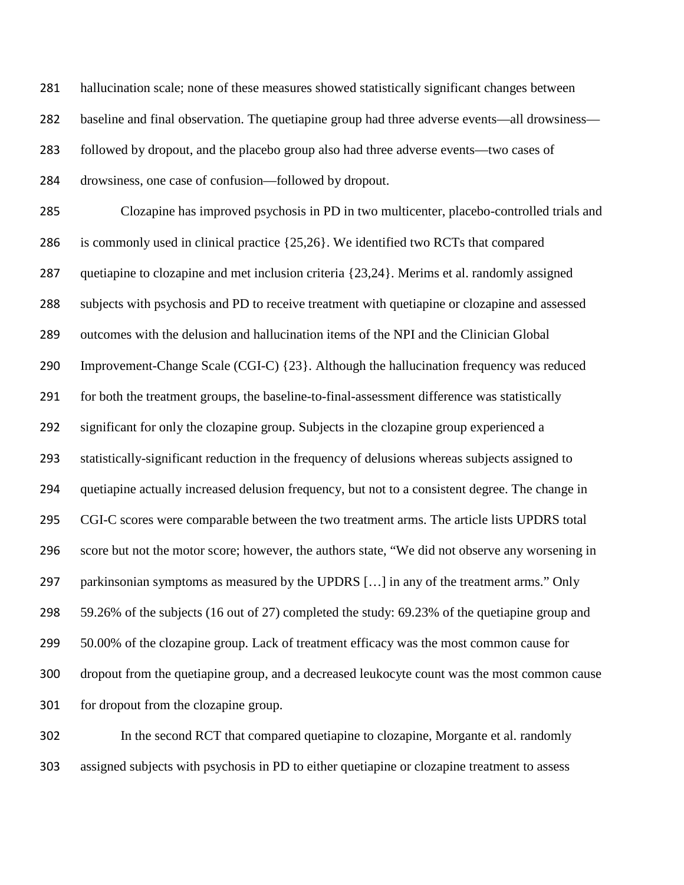hallucination scale; none of these measures showed statistically significant changes between baseline and final observation. The quetiapine group had three adverse events—all drowsiness— followed by dropout, and the placebo group also had three adverse events—two cases of drowsiness, one case of confusion—followed by dropout.

 Clozapine has improved psychosis in PD in two multicenter, placebo-controlled trials and is commonly used in clinical practice {25,26}. We identified two RCTs that compared quetiapine to clozapine and met inclusion criteria {23,24}. Merims et al. randomly assigned subjects with psychosis and PD to receive treatment with quetiapine or clozapine and assessed outcomes with the delusion and hallucination items of the NPI and the Clinician Global Improvement-Change Scale (CGI-C) {23}. Although the hallucination frequency was reduced for both the treatment groups, the baseline-to-final-assessment difference was statistically significant for only the clozapine group. Subjects in the clozapine group experienced a statistically-significant reduction in the frequency of delusions whereas subjects assigned to quetiapine actually increased delusion frequency, but not to a consistent degree. The change in CGI-C scores were comparable between the two treatment arms. The article lists UPDRS total score but not the motor score; however, the authors state, "We did not observe any worsening in parkinsonian symptoms as measured by the UPDRS […] in any of the treatment arms." Only 59.26% of the subjects (16 out of 27) completed the study: 69.23% of the quetiapine group and 50.00% of the clozapine group. Lack of treatment efficacy was the most common cause for dropout from the quetiapine group, and a decreased leukocyte count was the most common cause for dropout from the clozapine group.

 In the second RCT that compared quetiapine to clozapine, Morgante et al. randomly assigned subjects with psychosis in PD to either quetiapine or clozapine treatment to assess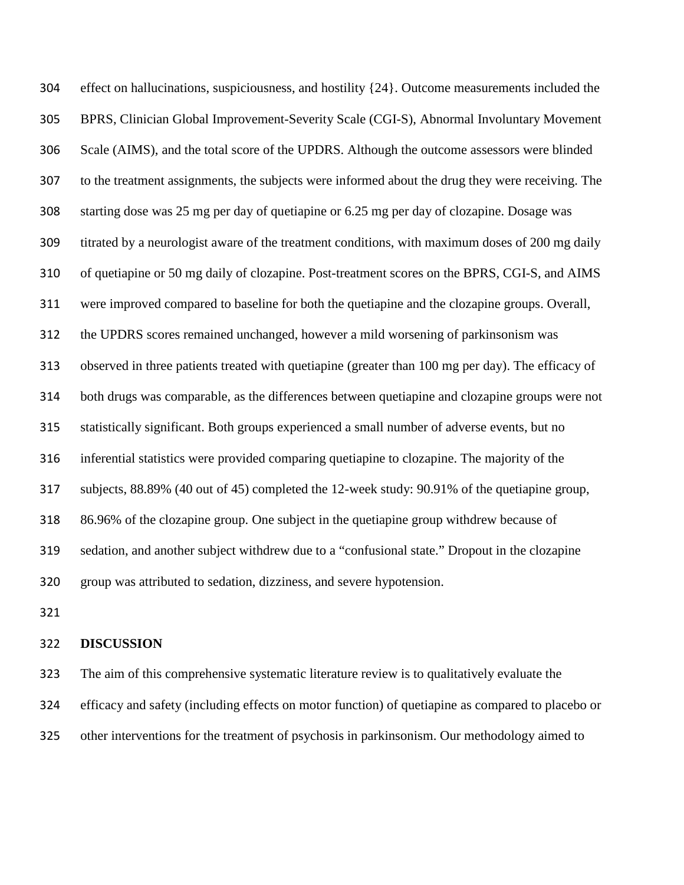effect on hallucinations, suspiciousness, and hostility {24}. Outcome measurements included the BPRS, Clinician Global Improvement-Severity Scale (CGI-S), Abnormal Involuntary Movement Scale (AIMS), and the total score of the UPDRS. Although the outcome assessors were blinded to the treatment assignments, the subjects were informed about the drug they were receiving. The starting dose was 25 mg per day of quetiapine or 6.25 mg per day of clozapine. Dosage was titrated by a neurologist aware of the treatment conditions, with maximum doses of 200 mg daily of quetiapine or 50 mg daily of clozapine. Post-treatment scores on the BPRS, CGI-S, and AIMS were improved compared to baseline for both the quetiapine and the clozapine groups. Overall, the UPDRS scores remained unchanged, however a mild worsening of parkinsonism was observed in three patients treated with quetiapine (greater than 100 mg per day). The efficacy of both drugs was comparable, as the differences between quetiapine and clozapine groups were not statistically significant. Both groups experienced a small number of adverse events, but no inferential statistics were provided comparing quetiapine to clozapine. The majority of the subjects, 88.89% (40 out of 45) completed the 12-week study: 90.91% of the quetiapine group, 86.96% of the clozapine group. One subject in the quetiapine group withdrew because of sedation, and another subject withdrew due to a "confusional state." Dropout in the clozapine group was attributed to sedation, dizziness, and severe hypotension.

#### **DISCUSSION**

 The aim of this comprehensive systematic literature review is to qualitatively evaluate the efficacy and safety (including effects on motor function) of quetiapine as compared to placebo or other interventions for the treatment of psychosis in parkinsonism. Our methodology aimed to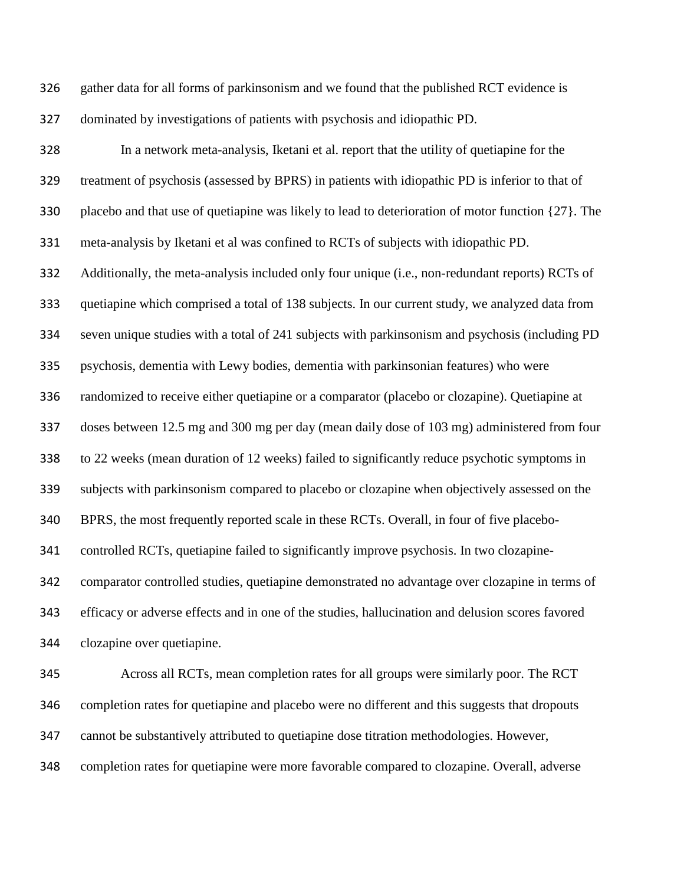gather data for all forms of parkinsonism and we found that the published RCT evidence is dominated by investigations of patients with psychosis and idiopathic PD.

 In a network meta-analysis, Iketani et al. report that the utility of quetiapine for the treatment of psychosis (assessed by BPRS) in patients with idiopathic PD is inferior to that of placebo and that use of quetiapine was likely to lead to deterioration of motor function {27}. The meta-analysis by Iketani et al was confined to RCTs of subjects with idiopathic PD. Additionally, the meta-analysis included only four unique (i.e., non-redundant reports) RCTs of quetiapine which comprised a total of 138 subjects. In our current study, we analyzed data from seven unique studies with a total of 241 subjects with parkinsonism and psychosis (including PD psychosis, dementia with Lewy bodies, dementia with parkinsonian features) who were randomized to receive either quetiapine or a comparator (placebo or clozapine). Quetiapine at doses between 12.5 mg and 300 mg per day (mean daily dose of 103 mg) administered from four to 22 weeks (mean duration of 12 weeks) failed to significantly reduce psychotic symptoms in subjects with parkinsonism compared to placebo or clozapine when objectively assessed on the BPRS, the most frequently reported scale in these RCTs. Overall, in four of five placebo- controlled RCTs, quetiapine failed to significantly improve psychosis. In two clozapine- comparator controlled studies, quetiapine demonstrated no advantage over clozapine in terms of efficacy or adverse effects and in one of the studies, hallucination and delusion scores favored clozapine over quetiapine.

 Across all RCTs, mean completion rates for all groups were similarly poor. The RCT completion rates for quetiapine and placebo were no different and this suggests that dropouts cannot be substantively attributed to quetiapine dose titration methodologies. However, completion rates for quetiapine were more favorable compared to clozapine. Overall, adverse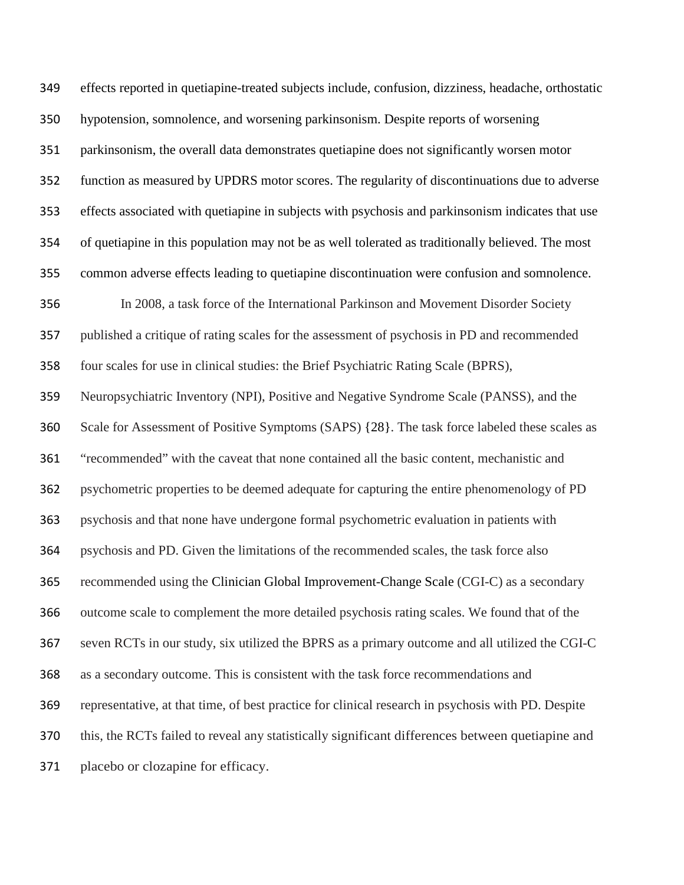effects reported in quetiapine-treated subjects include, confusion, dizziness, headache, orthostatic hypotension, somnolence, and worsening parkinsonism. Despite reports of worsening parkinsonism, the overall data demonstrates quetiapine does not significantly worsen motor function as measured by UPDRS motor scores. The regularity of discontinuations due to adverse effects associated with quetiapine in subjects with psychosis and parkinsonism indicates that use of quetiapine in this population may not be as well tolerated as traditionally believed. The most common adverse effects leading to quetiapine discontinuation were confusion and somnolence. In 2008, a task force of the International Parkinson and Movement Disorder Society published a critique of rating scales for the assessment of psychosis in PD and recommended four scales for use in clinical studies: the Brief Psychiatric Rating Scale (BPRS), Neuropsychiatric Inventory (NPI), Positive and Negative Syndrome Scale (PANSS), and the Scale for Assessment of Positive Symptoms (SAPS) {28}. The task force labeled these scales as "recommended" with the caveat that none contained all the basic content, mechanistic and psychometric properties to be deemed adequate for capturing the entire phenomenology of PD psychosis and that none have undergone formal psychometric evaluation in patients with psychosis and PD. Given the limitations of the recommended scales, the task force also recommended using the Clinician Global Improvement-Change Scale (CGI-C) as a secondary outcome scale to complement the more detailed psychosis rating scales. We found that of the seven RCTs in our study, six utilized the BPRS as a primary outcome and all utilized the CGI-C as a secondary outcome. This is consistent with the task force recommendations and representative, at that time, of best practice for clinical research in psychosis with PD. Despite this, the RCTs failed to reveal any statistically significant differences between quetiapine and placebo or clozapine for efficacy.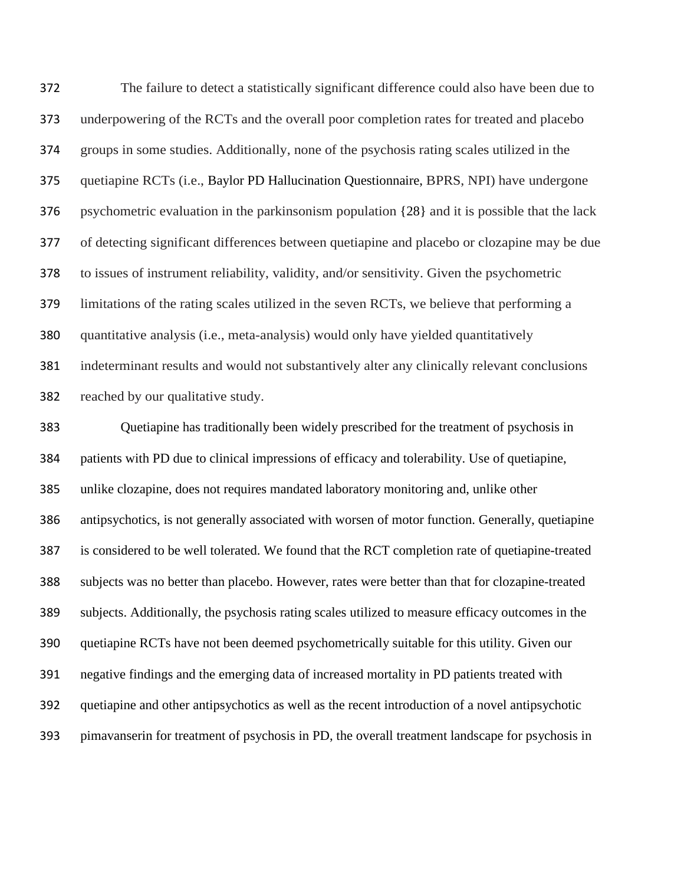The failure to detect a statistically significant difference could also have been due to underpowering of the RCTs and the overall poor completion rates for treated and placebo groups in some studies. Additionally, none of the psychosis rating scales utilized in the quetiapine RCTs (i.e., Baylor PD Hallucination Questionnaire, BPRS, NPI) have undergone psychometric evaluation in the parkinsonism population {28} and it is possible that the lack of detecting significant differences between quetiapine and placebo or clozapine may be due to issues of instrument reliability, validity, and/or sensitivity. Given the psychometric limitations of the rating scales utilized in the seven RCTs, we believe that performing a quantitative analysis (i.e., meta-analysis) would only have yielded quantitatively indeterminant results and would not substantively alter any clinically relevant conclusions reached by our qualitative study.

 Quetiapine has traditionally been widely prescribed for the treatment of psychosis in patients with PD due to clinical impressions of efficacy and tolerability. Use of quetiapine, unlike clozapine, does not requires mandated laboratory monitoring and, unlike other antipsychotics, is not generally associated with worsen of motor function. Generally, quetiapine is considered to be well tolerated. We found that the RCT completion rate of quetiapine-treated subjects was no better than placebo. However, rates were better than that for clozapine-treated subjects. Additionally, the psychosis rating scales utilized to measure efficacy outcomes in the quetiapine RCTs have not been deemed psychometrically suitable for this utility. Given our negative findings and the emerging data of increased mortality in PD patients treated with quetiapine and other antipsychotics as well as the recent introduction of a novel antipsychotic pimavanserin for treatment of psychosis in PD, the overall treatment landscape for psychosis in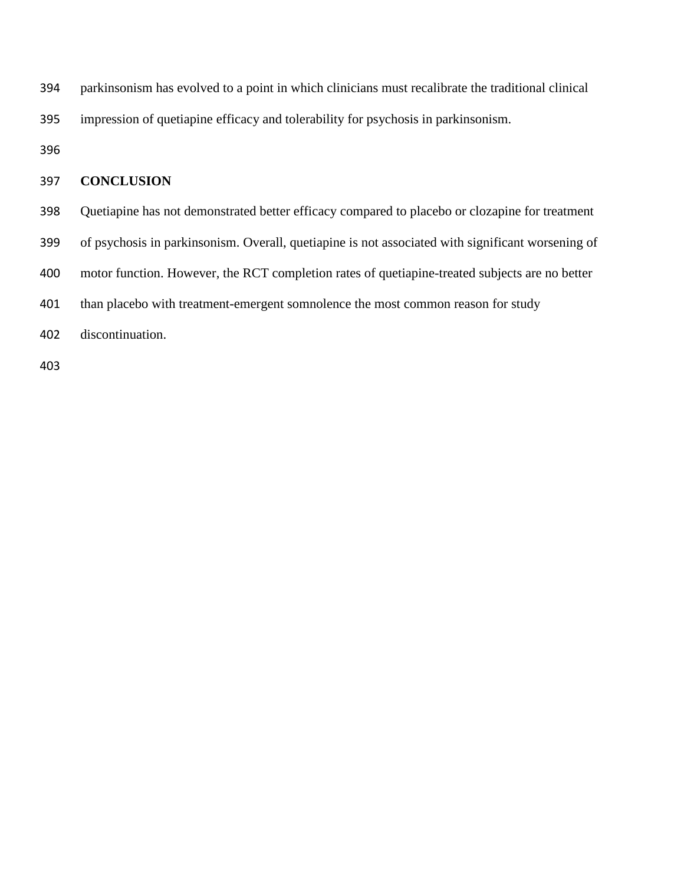- parkinsonism has evolved to a point in which clinicians must recalibrate the traditional clinical impression of quetiapine efficacy and tolerability for psychosis in parkinsonism.
- 

#### **CONCLUSION**

- Quetiapine has not demonstrated better efficacy compared to placebo or clozapine for treatment
- of psychosis in parkinsonism. Overall, quetiapine is not associated with significant worsening of
- motor function. However, the RCT completion rates of quetiapine-treated subjects are no better
- than placebo with treatment-emergent somnolence the most common reason for study
- discontinuation.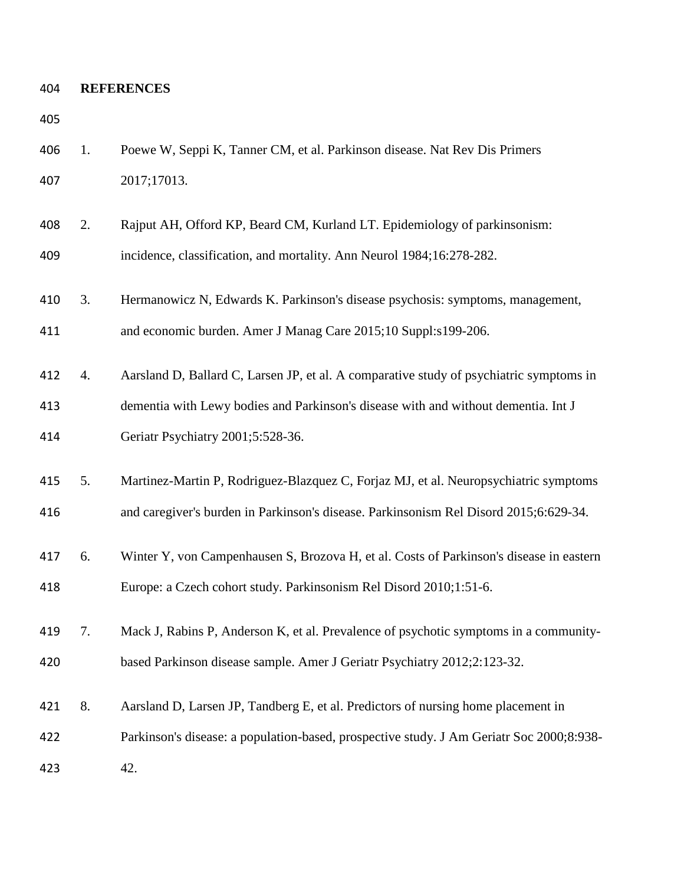#### 

- 1. Poewe W, Seppi K, Tanner CM, et al. Parkinson disease. Nat Rev Dis Primers 2017;17013.
- 2. Rajput AH, Offord KP, Beard CM, Kurland LT. Epidemiology of parkinsonism: incidence, classification, and mortality. Ann Neurol 1984;16:278-282.
- 3. Hermanowicz N, Edwards K. Parkinson's disease psychosis: symptoms, management, and economic burden. Amer J Manag Care 2015;10 Suppl:s199-206.
- 4. Aarsland D, Ballard C, Larsen JP, et al. A comparative study of psychiatric symptoms in dementia with Lewy bodies and Parkinson's disease with and without dementia. Int J Geriatr Psychiatry 2001;5:528-36.
- 5. Martinez-Martin P, Rodriguez-Blazquez C, Forjaz MJ, et al. Neuropsychiatric symptoms
- and caregiver's burden in Parkinson's disease. Parkinsonism Rel Disord 2015;6:629-34.
- 6. Winter Y, von Campenhausen S, Brozova H, et al. Costs of Parkinson's disease in eastern Europe: a Czech cohort study. Parkinsonism Rel Disord 2010;1:51-6.
- 7. Mack J, Rabins P, Anderson K, et al. Prevalence of psychotic symptoms in a community-based Parkinson disease sample. Amer J Geriatr Psychiatry 2012;2:123-32.
- 8. Aarsland D, Larsen JP, Tandberg E, et al. Predictors of nursing home placement in
- Parkinson's disease: a population-based, prospective study. J Am Geriatr Soc 2000;8:938-
- 42.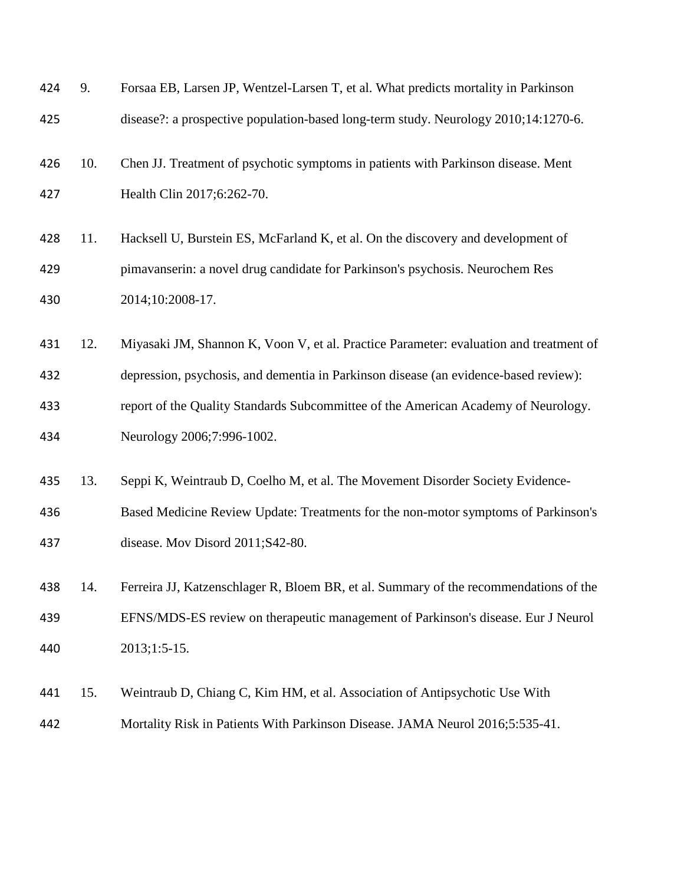| 424 | 9.  | Forsaa EB, Larsen JP, Wentzel-Larsen T, et al. What predicts mortality in Parkinson    |
|-----|-----|----------------------------------------------------------------------------------------|
| 425 |     | disease?: a prospective population-based long-term study. Neurology 2010;14:1270-6.    |
| 426 | 10. | Chen JJ. Treatment of psychotic symptoms in patients with Parkinson disease. Ment      |
| 427 |     | Health Clin 2017;6:262-70.                                                             |
| 428 | 11. | Hacksell U, Burstein ES, McFarland K, et al. On the discovery and development of       |
| 429 |     | pimavanserin: a novel drug candidate for Parkinson's psychosis. Neurochem Res          |
| 430 |     | 2014;10:2008-17.                                                                       |
| 431 | 12. | Miyasaki JM, Shannon K, Voon V, et al. Practice Parameter: evaluation and treatment of |
| 432 |     | depression, psychosis, and dementia in Parkinson disease (an evidence-based review):   |
| 433 |     | report of the Quality Standards Subcommittee of the American Academy of Neurology.     |
| 434 |     | Neurology 2006;7:996-1002.                                                             |
| 435 | 13. | Seppi K, Weintraub D, Coelho M, et al. The Movement Disorder Society Evidence-         |
| 436 |     | Based Medicine Review Update: Treatments for the non-motor symptoms of Parkinson's     |
| 437 |     | disease. Mov Disord 2011;S42-80.                                                       |
| 438 | 14. | Ferreira JJ, Katzenschlager R, Bloem BR, et al. Summary of the recommendations of the  |
| 439 |     | EFNS/MDS-ES review on therapeutic management of Parkinson's disease. Eur J Neurol      |
| 440 |     | $2013;1:5-15.$                                                                         |
| 441 | 15. | Weintraub D, Chiang C, Kim HM, et al. Association of Antipsychotic Use With            |
| 442 |     | Mortality Risk in Patients With Parkinson Disease. JAMA Neurol 2016;5:535-41.          |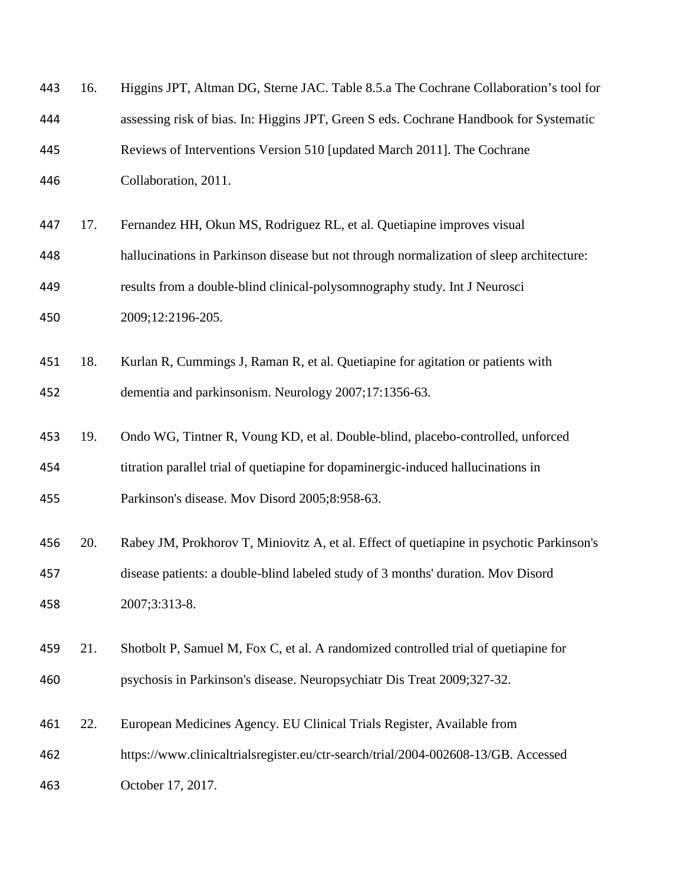| 443 | 16. | Higgins JPT, Altman DG, Sterne JAC. Table 8.5.a The Cochrane Collaboration's tool for    |
|-----|-----|------------------------------------------------------------------------------------------|
| 444 |     | assessing risk of bias. In: Higgins JPT, Green S eds. Cochrane Handbook for Systematic   |
| 445 |     | Reviews of Interventions Version 510 [updated March 2011]. The Cochrane                  |
| 446 |     | Collaboration, 2011.                                                                     |
| 447 | 17. | Fernandez HH, Okun MS, Rodriguez RL, et al. Quetiapine improves visual                   |
| 448 |     | hallucinations in Parkinson disease but not through normalization of sleep architecture: |
| 449 |     | results from a double-blind clinical-polysomnography study. Int J Neurosci               |
| 450 |     | 2009;12:2196-205.                                                                        |
| 451 | 18. | Kurlan R, Cummings J, Raman R, et al. Quetiapine for agitation or patients with          |
| 452 |     | dementia and parkinsonism. Neurology 2007;17:1356-63.                                    |
| 453 | 19. | Ondo WG, Tintner R, Voung KD, et al. Double-blind, placebo-controlled, unforced          |
| 454 |     | titration parallel trial of quetiapine for dopaminergic-induced hallucinations in        |
| 455 |     | Parkinson's disease. Mov Disord 2005;8:958-63.                                           |
| 456 | 20. | Rabey JM, Prokhorov T, Miniovitz A, et al. Effect of quetiapine in psychotic Parkinson's |
| 457 |     | disease patients: a double-blind labeled study of 3 months' duration. Mov Disord         |
| 458 |     | 2007;3:313-8.                                                                            |
| 459 | 21. | Shotbolt P, Samuel M, Fox C, et al. A randomized controlled trial of quetiapine for      |
| 460 |     | psychosis in Parkinson's disease. Neuropsychiatr Dis Treat 2009;327-32.                  |
| 461 | 22. | European Medicines Agency. EU Clinical Trials Register, Available from                   |
| 462 |     | https://www.clinicaltrialsregister.eu/ctr-search/trial/2004-002608-13/GB. Accessed       |
| 463 |     | October 17, 2017.                                                                        |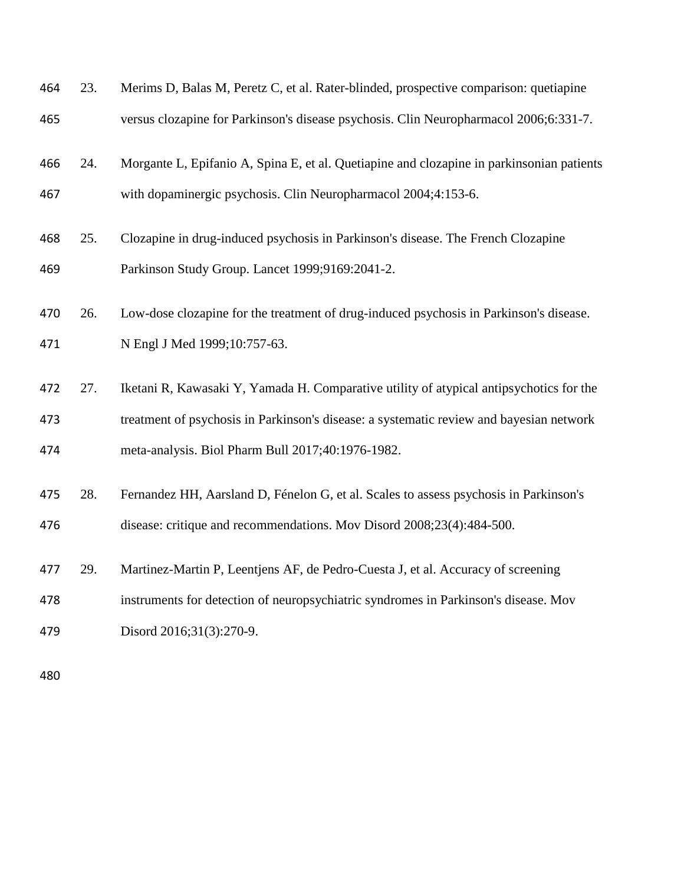| 464 | 23. | Merims D, Balas M, Peretz C, et al. Rater-blinded, prospective comparison: quetiapine     |
|-----|-----|-------------------------------------------------------------------------------------------|
| 465 |     | versus clozapine for Parkinson's disease psychosis. Clin Neuropharmacol 2006;6:331-7.     |
| 466 | 24. | Morgante L, Epifanio A, Spina E, et al. Quetiapine and clozapine in parkinsonian patients |
| 467 |     | with dopaminergic psychosis. Clin Neuropharmacol 2004;4:153-6.                            |
| 468 | 25. | Clozapine in drug-induced psychosis in Parkinson's disease. The French Clozapine          |
| 469 |     | Parkinson Study Group. Lancet 1999;9169:2041-2.                                           |
| 470 | 26. | Low-dose clozapine for the treatment of drug-induced psychosis in Parkinson's disease.    |
| 471 |     | N Engl J Med 1999;10:757-63.                                                              |
| 472 | 27. | Iketani R, Kawasaki Y, Yamada H. Comparative utility of atypical antipsychotics for the   |
| 473 |     | treatment of psychosis in Parkinson's disease: a systematic review and bayesian network   |
| 474 |     | meta-analysis. Biol Pharm Bull 2017;40:1976-1982.                                         |
| 475 | 28. | Fernandez HH, Aarsland D, Fénelon G, et al. Scales to assess psychosis in Parkinson's     |
| 476 |     | disease: critique and recommendations. Mov Disord 2008;23(4):484-500.                     |
| 477 | 29. | Martinez-Martin P, Leentjens AF, de Pedro-Cuesta J, et al. Accuracy of screening          |
| 478 |     | instruments for detection of neuropsychiatric syndromes in Parkinson's disease. Mov       |
| 479 |     | Disord 2016;31(3):270-9.                                                                  |
| 480 |     |                                                                                           |